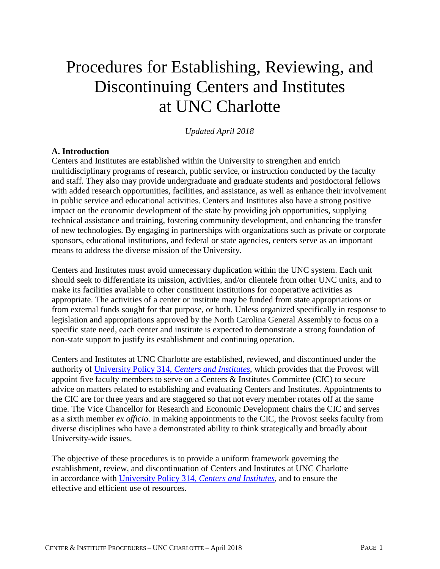# Procedures for Establishing, Reviewing, and Discontinuing Centers and Institutes at UNC Charlotte

*Updated April 2018*

## **A. Introduction**

Centers and Institutes are established within the University to strengthen and enrich multidisciplinary programs of research, public service, or instruction conducted by the faculty and staff. They also may provide undergraduate and graduate students and postdoctoral fellows with added research opportunities, facilities, and assistance, as well as enhance their involvement in public service and educational activities. Centers and Institutes also have a strong positive impact on the economic development of the state by providing job opportunities, supplying technical assistance and training, fostering community development, and enhancing the transfer of new technologies. By engaging in partnerships with organizations such as private or corporate sponsors, educational institutions, and federal or state agencies, centers serve as an important means to address the diverse mission of the University.

Centers and Institutes must avoid unnecessary duplication within the UNC system. Each unit should seek to differentiate its mission, activities, and/or clientele from other UNC units, and to make its facilities available to other constituent institutions for cooperative activities as appropriate. The activities of a center or institute may be funded from state appropriations or from external funds sought for that purpose, or both. Unless organized specifically in response to legislation and appropriations approved by the North Carolina General Assembly to focus on a specific state need, each center and institute is expected to demonstrate a strong foundation of non-state support to justify its establishment and continuing operation.

Centers and Institutes at UNC Charlotte are established, reviewed, and discontinued under the authority of [University Policy 314,](https://legal.uncc.edu/policies/up-314) *Centers and Institutes*, which provides that the Provost will appoint five faculty members to serve on a Centers & Institutes Committee (CIC) to secure advice on matters related to establishing and evaluating Centers and Institutes. Appointments to the CIC are for three years and are staggered so that not every member rotates off at the same time. The Vice Chancellor for Research and Economic Development chairs the CIC and serves as a sixth member *ex officio*. In making appointments to the CIC, the Provost seeks faculty from diverse disciplines who have a demonstrated ability to think strategically and broadly about University-wide issues.

The objective of these procedures is to provide a uniform framework governing the establishment, review, and discontinuation of Centers and Institutes at UNC Charlotte in accordance with [University Policy 314,](https://legal.uncc.edu/policies/up-314) *Centers and Institutes*, and to ensure the effective and efficient use of resources.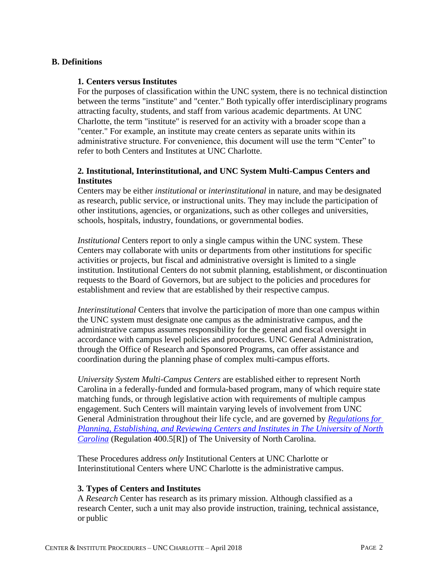## **B. Definitions**

#### **1. Centers versus Institutes**

For the purposes of classification within the UNC system, there is no technical distinction between the terms "institute" and "center." Both typically offer interdisciplinary programs attracting faculty, students, and staff from various academic departments. At UNC Charlotte, the term "institute" is reserved for an activity with a broader scope than a "center." For example, an institute may create centers as separate units within its administrative structure. For convenience, this document will use the term "Center" to refer to both Centers and Institutes at UNC Charlotte.

## **2. Institutional, Interinstitutional, and UNC System Multi-Campus Centers and Institutes**

Centers may be either *institutional* or *interinstitutional* in nature, and may be designated as research, public service, or instructional units. They may include the participation of other institutions, agencies, or organizations, such as other colleges and universities, schools, hospitals, industry, foundations, or governmental bodies.

*Institutional* Centers report to only a single campus within the UNC system. These Centers may collaborate with units or departments from other institutions for specific activities or projects, but fiscal and administrative oversight is limited to a single institution. Institutional Centers do not submit planning, establishment, or discontinuation requests to the Board of Governors, but are subject to the policies and procedures for establishment and review that are established by their respective campus.

*Interinstitutional* Centers that involve the participation of more than one campus within the UNC system must designate one campus as the administrative campus, and the administrative campus assumes responsibility for the general and fiscal oversight in accordance with campus level policies and procedures. UNC General Administration, through the Office of Research and Sponsored Programs, can offer assistance and coordination during the planning phase of complex multi-campus efforts.

*University System Multi-Campus Centers* are established either to represent North Carolina in a federally-funded and formula-based program, many of which require state matching funds, or through legislative action with requirements of multiple campus engagement. Such Centers will maintain varying levels of involvement from UNC General Administration throughout their life cycle, and are governed by *[Regulations for](http://www.northcarolina.edu/apps/policy/index.php?pg=vs&id=5575&added=1)  [Planning, Establishing, and Reviewing Centers and Institutes in The University of North](http://www.northcarolina.edu/apps/policy/index.php?pg=vs&id=5575&added=1)  [Carolina](http://www.northcarolina.edu/apps/policy/index.php?pg=vs&id=5575&added=1)* [\(Regulation 400.5\[R\]\)](http://intranet.northcarolina.edu/docs/legal/policymanual/400.5%5Br%5D.pdf) of The University of North Carolina.

These Procedures address *only* Institutional Centers at UNC Charlotte or Interinstitutional Centers where UNC Charlotte is the administrative campus.

#### **3. Types of Centers and Institutes**

A *Research* Center has research as its primary mission. Although classified as a research Center, such a unit may also provide instruction, training, technical assistance, or public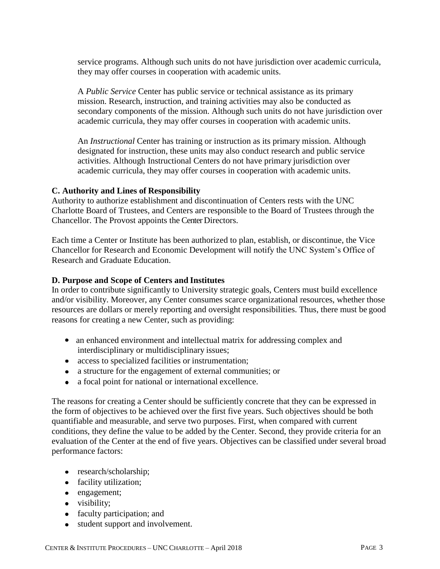service programs. Although such units do not have jurisdiction over academic curricula, they may offer courses in cooperation with academic units.

A *Public Service* Center has public service or technical assistance as its primary mission. Research, instruction, and training activities may also be conducted as secondary components of the mission. Although such units do not have jurisdiction over academic curricula, they may offer courses in cooperation with academic units.

An *Instructional* Center has training or instruction as its primary mission. Although designated for instruction, these units may also conduct research and public service activities. Although Instructional Centers do not have primary jurisdiction over academic curricula, they may offer courses in cooperation with academic units.

## **C. Authority and Lines of Responsibility**

Authority to authorize establishment and discontinuation of Centers rests with the UNC Charlotte Board of Trustees, and Centers are responsible to the Board of Trustees through the Chancellor. The Provost appoints the Center Directors.

Each time a Center or Institute has been authorized to plan, establish, or discontinue, the Vice Chancellor for Research and Economic Development will notify the UNC System's Office of Research and Graduate Education.

## **D. Purpose and Scope of Centers and Institutes**

In order to contribute significantly to University strategic goals, Centers must build excellence and/or visibility. Moreover, any Center consumes scarce organizational resources, whether those resources are dollars or merely reporting and oversight responsibilities. Thus, there must be good reasons for creating a new Center, such as providing:

- an enhanced environment and intellectual matrix for addressing complex and interdisciplinary or multidisciplinary issues;
- access to specialized facilities or instrumentation;
- a structure for the engagement of external communities; or
- a focal point for national or international excellence.

The reasons for creating a Center should be sufficiently concrete that they can be expressed in the form of objectives to be achieved over the first five years. Such objectives should be both quantifiable and measurable, and serve two purposes. First, when compared with current conditions, they define the value to be added by the Center. Second, they provide criteria for an evaluation of the Center at the end of five years. Objectives can be classified under several broad performance factors:

- research/scholarship;
- facility utilization;
- engagement;
- visibility;
- faculty participation; and
- student support and involvement.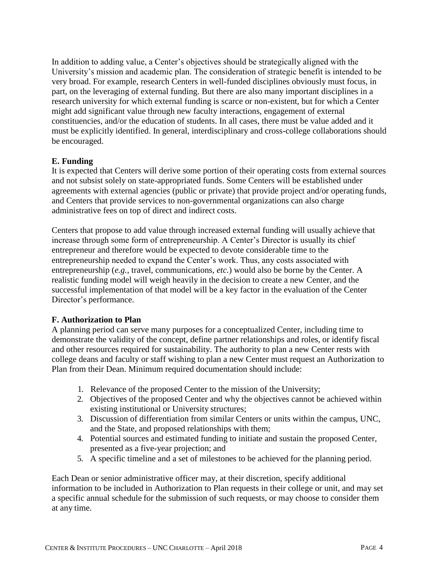In addition to adding value, a Center's objectives should be strategically aligned with the University's mission and academic plan. The consideration of strategic benefit is intended to be very broad. For example, research Centers in well-funded disciplines obviously must focus, in part, on the leveraging of external funding. But there are also many important disciplines in a research university for which external funding is scarce or non-existent, but for which a Center might add significant value through new faculty interactions, engagement of external constituencies, and/or the education of students. In all cases, there must be value added and it must be explicitly identified. In general, interdisciplinary and cross-college collaborations should be encouraged.

## **E. Funding**

It is expected that Centers will derive some portion of their operating costs from external sources and not subsist solely on state-appropriated funds. Some Centers will be established under agreements with external agencies (public or private) that provide project and/or operating funds, and Centers that provide services to non-governmental organizations can also charge administrative fees on top of direct and indirect costs.

Centers that propose to add value through increased external funding will usually achieve that increase through some form of entrepreneurship. A Center's Director is usually its chief entrepreneur and therefore would be expected to devote considerable time to the entrepreneurship needed to expand the Center's work. Thus, any costs associated with entrepreneurship (*e.g.*, travel, communications, *etc.*) would also be borne by the Center. A realistic funding model will weigh heavily in the decision to create a new Center, and the successful implementation of that model will be a key factor in the evaluation of the Center Director's performance.

## **F. Authorization to Plan**

A planning period can serve many purposes for a conceptualized Center, including time to demonstrate the validity of the concept, define partner relationships and roles, or identify fiscal and other resources required for sustainability. The authority to plan a new Center rests with college deans and faculty or staff wishing to plan a new Center must request an Authorization to Plan from their Dean. Minimum required documentation should include:

- 1. Relevance of the proposed Center to the mission of the University;
- 2. Objectives of the proposed Center and why the objectives cannot be achieved within existing institutional or University structures;
- 3. Discussion of differentiation from similar Centers or units within the campus, UNC, and the State, and proposed relationships with them;
- 4. Potential sources and estimated funding to initiate and sustain the proposed Center, presented as a five-year projection; and
- 5. A specific timeline and a set of milestones to be achieved for the planning period.

Each Dean or senior administrative officer may, at their discretion, specify additional information to be included in Authorization to Plan requests in their college or unit, and may set a specific annual schedule for the submission of such requests, or may choose to consider them at any time.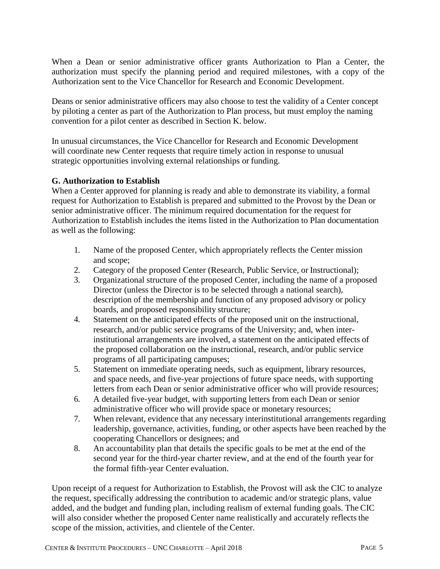When a Dean or senior administrative officer grants Authorization to Plan a Center, the authorization must specify the planning period and required milestones, with a copy of the Authorization sent to the Vice Chancellor for Research and Economic Development.

Deans or senior administrative officers may also choose to test the validity of a Center concept by piloting a center as part of the Authorization to Plan process, but must employ the naming convention for a pilot center as described in Section K. below.

In unusual circumstances, the Vice Chancellor for Research and Economic Development will coordinate new Center requests that require timely action in response to unusual strategic opportunities involving external relationships or funding.

## **G. Authorization to Establish**

When a Center approved for planning is ready and able to demonstrate its viability, a formal request for Authorization to Establish is prepared and submitted to the Provost by the Dean or senior administrative officer. The minimum required documentation for the request for Authorization to Establish includes the items listed in the Authorization to Plan documentation as well as the following:

- 1. Name of the proposed Center, which appropriately reflects the Center mission and scope;
- 2. Category of the proposed Center (Research, Public Service, or Instructional);
- 3. Organizational structure of the proposed Center, including the name of a proposed Director (unless the Director is to be selected through a national search), description of the membership and function of any proposed advisory or policy boards, and proposed responsibility structure;
- 4. Statement on the anticipated effects of the proposed unit on the instructional, research, and/or public service programs of the University; and, when interinstitutional arrangements are involved, a statement on the anticipated effects of the proposed collaboration on the instructional, research, and/or public service programs of all participating campuses;
- 5. Statement on immediate operating needs, such as equipment, library resources, and space needs, and five-year projections of future space needs, with supporting letters from each Dean or senior administrative officer who will provide resources;
- 6. A detailed five-year budget, with supporting letters from each Dean or senior administrative officer who will provide space or monetary resources;
- 7. When relevant, evidence that any necessary interinstitutional arrangements regarding leadership, governance, activities, funding, or other aspects have been reached by the cooperating Chancellors or designees; and
- 8. An accountability plan that details the specific goals to be met at the end of the second year for the third-year charter review, and at the end of the fourth year for the formal fifth-year Center evaluation.

Upon receipt of a request for Authorization to Establish, the Provost will ask the CIC to analyze the request, specifically addressing the contribution to academic and/or strategic plans, value added, and the budget and funding plan, including realism of external funding goals. The CIC will also consider whether the proposed Center name realistically and accurately reflects the scope of the mission, activities, and clientele of the Center.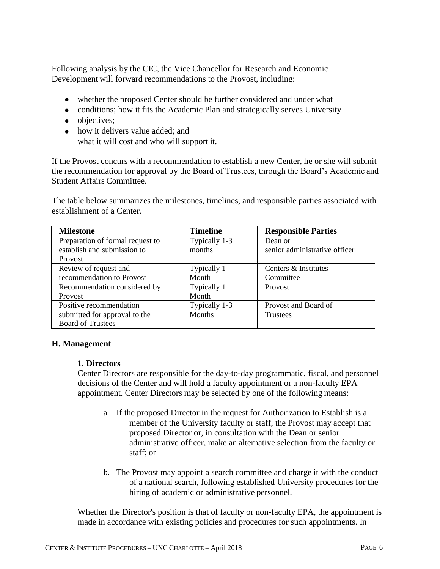Following analysis by the CIC, the Vice Chancellor for Research and Economic Development will forward recommendations to the Provost, including:

- whether the proposed Center should be further considered and under what
- conditions; how it fits the Academic Plan and strategically serves University
- objectives;
- how it delivers value added; and what it will cost and who will support it.

If the Provost concurs with a recommendation to establish a new Center, he or she will submit the recommendation for approval by the Board of Trustees, through the Board's Academic and Student Affairs Committee.

The table below summarizes the milestones, timelines, and responsible parties associated with establishment of a Center.

| <b>Milestone</b>                 | <b>Timeline</b> | <b>Responsible Parties</b>    |
|----------------------------------|-----------------|-------------------------------|
| Preparation of formal request to | Typically 1-3   | Dean or                       |
| establish and submission to      | months          | senior administrative officer |
| Provost                          |                 |                               |
| Review of request and            | Typically 1     | Centers & Institutes          |
| recommendation to Provost        | Month           | Committee                     |
| Recommendation considered by     | Typically 1     | <b>Provost</b>                |
| <b>Provost</b>                   | Month           |                               |
| Positive recommendation          | Typically 1-3   | Provost and Board of          |
| submitted for approval to the    | <b>Months</b>   | <b>Trustees</b>               |
| <b>Board of Trustees</b>         |                 |                               |

## **H. Management**

## **1. Directors**

Center Directors are responsible for the day-to-day programmatic, fiscal, and personnel decisions of the Center and will hold a faculty appointment or a non-faculty EPA appointment. Center Directors may be selected by one of the following means:

- a. If the proposed Director in the request for Authorization to Establish is a member of the University faculty or staff, the Provost may accept that proposed Director or, in consultation with the Dean or senior administrative officer, make an alternative selection from the faculty or staff; or
- b. The Provost may appoint a search committee and charge it with the conduct of a national search, following established University procedures for the hiring of academic or administrative personnel.

Whether the Director's position is that of faculty or non-faculty EPA, the appointment is made in accordance with existing policies and procedures for such appointments. In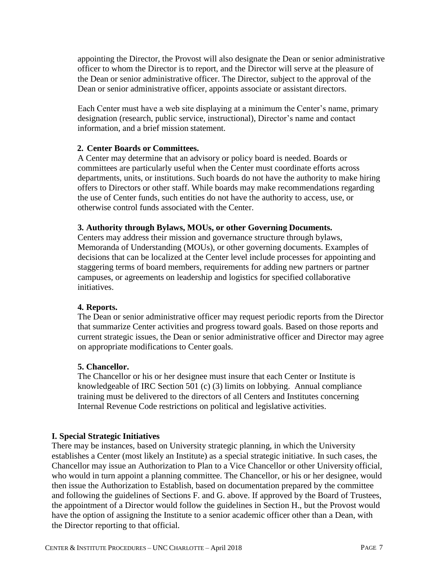appointing the Director, the Provost will also designate the Dean or senior administrative officer to whom the Director is to report, and the Director will serve at the pleasure of the Dean or senior administrative officer. The Director, subject to the approval of the Dean or senior administrative officer, appoints associate or assistant directors.

Each Center must have a web site displaying at a minimum the Center's name, primary designation (research, public service, instructional), Director's name and contact information, and a brief mission statement.

## **2. Center Boards or Committees.**

A Center may determine that an advisory or policy board is needed. Boards or committees are particularly useful when the Center must coordinate efforts across departments, units, or institutions. Such boards do not have the authority to make hiring offers to Directors or other staff. While boards may make recommendations regarding the use of Center funds, such entities do not have the authority to access, use, or otherwise control funds associated with the Center.

## **3. Authority through Bylaws, MOUs, or other Governing Documents.**

Centers may address their mission and governance structure through bylaws, Memoranda of Understanding (MOUs), or other governing documents. Examples of decisions that can be localized at the Center level include processes for appointing and staggering terms of board members, requirements for adding new partners or partner campuses, or agreements on leadership and logistics for specified collaborative initiatives.

## **4. Reports.**

The Dean or senior administrative officer may request periodic reports from the Director that summarize Center activities and progress toward goals. Based on those reports and current strategic issues, the Dean or senior administrative officer and Director may agree on appropriate modifications to Center goals.

## **5. Chancellor.**

The Chancellor or his or her designee must insure that each Center or Institute is knowledgeable of IRC Section 501 (c) (3) limits on lobbying. Annual compliance training must be delivered to the directors of all Centers and Institutes concerning Internal Revenue Code restrictions on political and legislative activities.

## **I. Special Strategic Initiatives**

There may be instances, based on University strategic planning, in which the University establishes a Center (most likely an Institute) as a special strategic initiative. In such cases, the Chancellor may issue an Authorization to Plan to a Vice Chancellor or other University official, who would in turn appoint a planning committee. The Chancellor, or his or her designee, would then issue the Authorization to Establish, based on documentation prepared by the committee and following the guidelines of Sections F. and G. above. If approved by the Board of Trustees, the appointment of a Director would follow the guidelines in Section H., but the Provost would have the option of assigning the Institute to a senior academic officer other than a Dean, with the Director reporting to that official.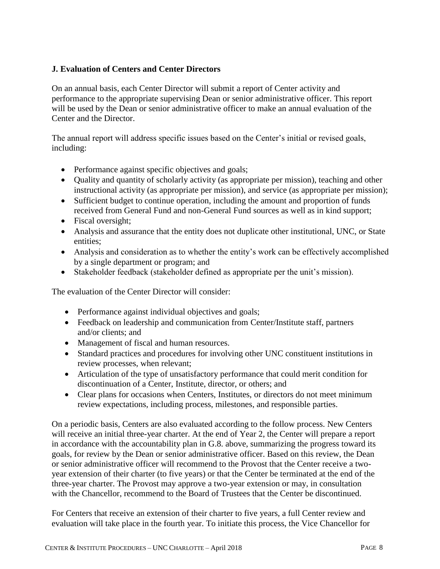# **J. Evaluation of Centers and Center Directors**

On an annual basis, each Center Director will submit a report of Center activity and performance to the appropriate supervising Dean or senior administrative officer. This report will be used by the Dean or senior administrative officer to make an annual evaluation of the Center and the Director.

The annual report will address specific issues based on the Center's initial or revised goals, including:

- Performance against specific objectives and goals;
- Quality and quantity of scholarly activity (as appropriate per mission), teaching and other instructional activity (as appropriate per mission), and service (as appropriate per mission);
- Sufficient budget to continue operation, including the amount and proportion of funds received from General Fund and non-General Fund sources as well as in kind support;
- Fiscal oversight;
- Analysis and assurance that the entity does not duplicate other institutional, UNC, or State entities;
- Analysis and consideration as to whether the entity's work can be effectively accomplished by a single department or program; and
- Stakeholder feedback (stakeholder defined as appropriate per the unit's mission).

The evaluation of the Center Director will consider:

- Performance against individual objectives and goals;
- Feedback on leadership and communication from Center/Institute staff, partners and/or clients; and
- Management of fiscal and human resources.
- Standard practices and procedures for involving other UNC constituent institutions in review processes, when relevant;
- Articulation of the type of unsatisfactory performance that could merit condition for discontinuation of a Center, Institute, director, or others; and
- Clear plans for occasions when Centers, Institutes, or directors do not meet minimum review expectations, including process, milestones, and responsible parties.

On a periodic basis, Centers are also evaluated according to the follow process. New Centers will receive an initial three-year charter. At the end of Year 2, the Center will prepare a report in accordance with the accountability plan in G.8. above, summarizing the progress toward its goals, for review by the Dean or senior administrative officer. Based on this review, the Dean or senior administrative officer will recommend to the Provost that the Center receive a twoyear extension of their charter (to five years) or that the Center be terminated at the end of the three-year charter. The Provost may approve a two-year extension or may, in consultation with the Chancellor, recommend to the Board of Trustees that the Center be discontinued.

For Centers that receive an extension of their charter to five years, a full Center review and evaluation will take place in the fourth year. To initiate this process, the Vice Chancellor for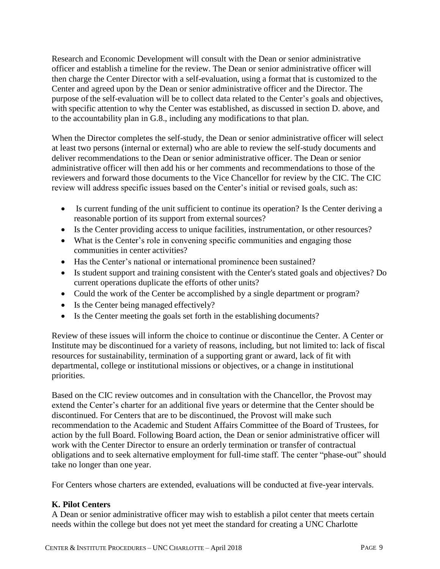Research and Economic Development will consult with the Dean or senior administrative officer and establish a timeline for the review. The Dean or senior administrative officer will then charge the Center Director with a self-evaluation, using a format that is customized to the Center and agreed upon by the Dean or senior administrative officer and the Director. The purpose of the self-evaluation will be to collect data related to the Center's goals and objectives, with specific attention to why the Center was established, as discussed in section D. above, and to the accountability plan in G.8., including any modifications to that plan.

When the Director completes the self-study, the Dean or senior administrative officer will select at least two persons (internal or external) who are able to review the self-study documents and deliver recommendations to the Dean or senior administrative officer. The Dean or senior administrative officer will then add his or her comments and recommendations to those of the reviewers and forward those documents to the Vice Chancellor for review by the CIC. The CIC review will address specific issues based on the Center's initial or revised goals, such as:

- Is current funding of the unit sufficient to continue its operation? Is the Center deriving a reasonable portion of its support from external sources?
- Is the Center providing access to unique facilities, instrumentation, or other resources?
- What is the Center's role in convening specific communities and engaging those communities in center activities?
- Has the Center's national or international prominence been sustained?
- Is student support and training consistent with the Center's stated goals and objectives? Do current operations duplicate the efforts of other units?
- Could the work of the Center be accomplished by a single department or program?
- Is the Center being managed effectively?
- Is the Center meeting the goals set forth in the establishing documents?

Review of these issues will inform the choice to continue or discontinue the Center. A Center or Institute may be discontinued for a variety of reasons, including, but not limited to: lack of fiscal resources for sustainability, termination of a supporting grant or award, lack of fit with departmental, college or institutional missions or objectives, or a change in institutional priorities.

Based on the CIC review outcomes and in consultation with the Chancellor, the Provost may extend the Center's charter for an additional five years or determine that the Center should be discontinued. For Centers that are to be discontinued, the Provost will make such recommendation to the Academic and Student Affairs Committee of the Board of Trustees, for action by the full Board. Following Board action, the Dean or senior administrative officer will work with the Center Director to ensure an orderly termination or transfer of contractual obligations and to seek alternative employment for full-time staff. The center "phase-out" should take no longer than one year.

For Centers whose charters are extended, evaluations will be conducted at five-year intervals.

## **K. Pilot Centers**

A Dean or senior administrative officer may wish to establish a pilot center that meets certain needs within the college but does not yet meet the standard for creating a UNC Charlotte